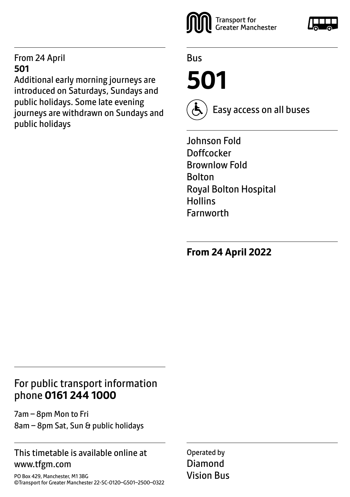#### From 24 April **501**

Additional early morning journeys are introduced on Saturdays, Sundays and public holidays. Some late evening journeys are withdrawn on Sundays and public holidays



Bus

**501**



Easy access on all buses

Johnson Fold Doffcocker Brownlow Fold Bolton Royal Bolton Hospital **Hollins** Farnworth

**From 24 April 2022**

# For public transport information phone **0161 244 1000**

7am – 8pm Mon to Fri 8am – 8pm Sat, Sun & public holidays

## This timetable is available online at www.tfgm.com

PO Box 429, Manchester, M1 3BG ©Transport for Greater Manchester 22-SC-0120–G501–2500–0322 Operated by Diamond Vision Bus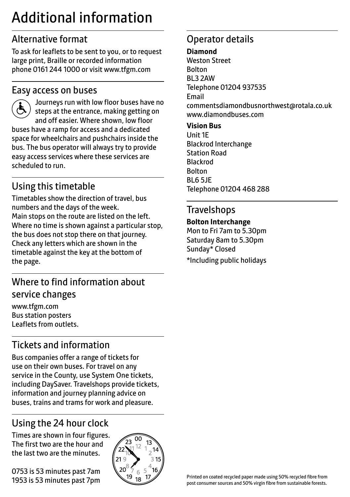# Additional information

# Alternative format

To ask for leaflets to be sent to you, or to request large print, Braille or recorded information phone 0161 244 1000 or visit www.tfgm.com

## Easy access on buses



scheduled to run.

 Journeys run with low floor buses have no steps at the entrance, making getting on and off easier. Where shown, low floor buses have a ramp for access and a dedicated space for wheelchairs and pushchairs inside the bus. The bus operator will always try to provide easy access services where these services are

# Using this timetable

Timetables show the direction of travel, bus numbers and the days of the week. Main stops on the route are listed on the left. Where no time is shown against a particular stop, the bus does not stop there on that journey. Check any letters which are shown in the timetable against the key at the bottom of the page.

# Where to find information about service changes

www.tfgm.com Bus station posters Leaflets from outlets.

# Tickets and information

Bus companies offer a range of tickets for use on their own buses. For travel on any service in the County, use System One tickets, including DaySaver. Travelshops provide tickets, information and journey planning advice on buses, trains and trams for work and pleasure.

# Using the 24 hour clock

Times are shown in four figures. The first two are the hour and the last two are the minutes.

0753 is 53 minutes past 7am 1953 is 53 minutes past 7pm



# Operator details

#### **Diamond**

Weston Street Bolton BL3 2AW Telephone 01204 937535 Email commentsdiamondbusnorthwest@rotala.co.uk www.diamondbuses.com

#### **Vision Bus**

Unit 1E Blackrod Interchange Station Road Blackrod Bolton BL6 5JE Telephone 01204 468 288

## **Travelshops**

#### **Bolton Interchange**

Mon to Fri 7am to 5.30pm Saturday 8am to 5.30pm Sunday\* Closed \*Including public holidays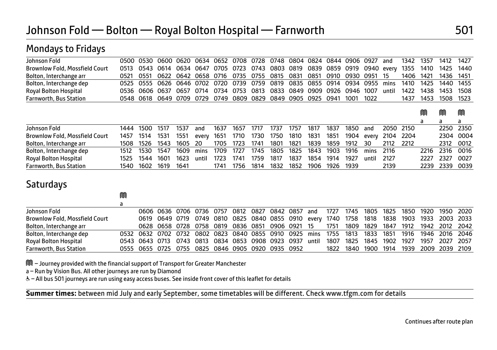| Johnson Fold                          | 0500 | 0530      |           | 0600 0620 | 0634  | 0652 | 0708 | 0728 |      | 0748 0804 0824 0844 0906 0927 |      |      |      |            | and   | 1342 | 1357 | 1412 | 1427 |
|---------------------------------------|------|-----------|-----------|-----------|-------|------|------|------|------|-------------------------------|------|------|------|------------|-------|------|------|------|------|
| <b>Brownlow Fold, Mossfield Court</b> | 0513 | 0543      | 0614      | 0634      | 0647  | 0705 | 0723 | 0743 | 0803 | 0819                          | 0839 | 0859 | 0919 | 0940 every |       | 1355 | 1410 | 1425 | 1440 |
| Bolton, Interchange arr               | 0521 | 0551      | 0622      | 0642      | 0658  | 0716 | 0735 | 0755 | 0815 | 0831                          | 0851 | 0910 | 0930 | 0951       | 15    | 1406 | 1421 | 1436 | 1451 |
| Bolton, Interchange dep               | 0525 | 0555      | 0626      | 0646      | 0702  | 0720 | 0739 | 0759 | 0819 | 0835                          | 0855 | 0914 | 0934 | 0955       | mins  | 1410 | 1425 | 1440 | 1455 |
| Royal Bolton Hospital                 | 0536 |           | 0606 0637 | 0657      | 0714  | 0734 | 0753 | 0813 | 0833 | 0849                          | 0909 | 0926 | 0946 | 1007       | until | 1422 | 1438 | 1453 | 1508 |
| <b>Farnworth, Bus Station</b>         |      | 0548 0618 | 0649      | 0709      | 0729  | 0749 | 0809 | 0829 | 0849 | 0905                          | 0925 | 0941 | 1001 | 1022       |       | 1437 | 1453 | 1508 | 1523 |
|                                       |      |           |           |           |       |      |      |      |      |                               |      |      |      |            |       |      |      |      |      |
|                                       |      |           |           |           |       |      |      |      |      |                               |      |      |      |            |       |      | M    | M    | M    |
|                                       |      |           |           |           |       |      |      |      |      |                               |      |      |      |            |       |      | a    | a    | a    |
| Johnson Fold                          | 1444 | 1500      | 1517      | 1537      | and   | 1637 | 1657 | 1717 | 1737 | 1757                          | 1817 | 1837 | 1850 | and        | 2050  | 2150 |      | 2250 | 2350 |
| <b>Brownlow Fold, Mossfield Court</b> | 1457 | 1514      | 1531      | 1551      | every | 1651 | 1710 | 1730 | 1750 | 1810                          | 1831 | 1851 | 1904 | every      | 2104  | 2204 |      | 2304 | 0004 |
| Bolton, Interchange arr               | 1508 | 1526      | 1543      | 1605      | 20    | 1705 | 1723 | 1741 | 1801 | 1821                          | 1839 | 1859 | 1912 | 30         | 2112  | 2212 |      | 2312 | 0012 |
| Bolton, Interchange dep               | 1512 | 1530      | 1547      | 1609      | mins  | 1709 | 1727 | 1745 | 1805 | 1825                          | 1843 | 1903 | 1916 | mins       | 2116  |      | 2216 | 2316 | 0016 |
| Royal Bolton Hospital                 | 1525 | 1544      | 1601      | 1623      | until | 1723 | 1741 | 1759 | 1817 | 1837                          | 1854 | 1914 | 1927 | until      | 2127  |      | 2227 | 2327 | 0027 |
| <b>Farnworth, Bus Station</b>         | 1540 | 1602      | 1619      | 1641      |       | 1741 | 1756 | 1814 | 1832 | 1852                          | 1906 | 1926 | 1939 |            | 2139  |      | 2239 | 2339 | 0039 |
|                                       |      |           |           |           |       |      |      |      |      |                               |      |      |      |            |       |      |      |      |      |

## **Saturdays**

Mondays to Fridays

|                                       | IJUl |                                                                  |                                                                        |  |           |  |                               |       |      |      |           |      |      |                     |           |  |
|---------------------------------------|------|------------------------------------------------------------------|------------------------------------------------------------------------|--|-----------|--|-------------------------------|-------|------|------|-----------|------|------|---------------------|-----------|--|
|                                       |      |                                                                  |                                                                        |  |           |  |                               |       |      |      |           |      |      |                     |           |  |
| Johnson Fold                          |      |                                                                  | 0606 0636 0706 0736 0757                                               |  | 0812 0827 |  | 0842 0857 and                 |       | 1727 | 1745 | 1805      | 1825 | 1850 | 1920                | 1950 2020 |  |
| <b>Brownlow Fold, Mossfield Court</b> |      |                                                                  | 0619 0649 0719 0749 0810 0825 0840 0855 0910 every 1740 1758 1818 1838 |  |           |  |                               |       |      |      |           |      |      | 1903 1933 2003 2033 |           |  |
| Bolton, Interchange arr               |      |                                                                  | 0628 0658 0728 0758 0819 0836 0851 0906 0921 15                        |  |           |  |                               |       | 1751 |      | 1809 1829 | 1847 | 1912 | 1942 2012 2042      |           |  |
| Bolton, Interchange dep               |      | 0532 0632 0702 0732 0802 0823 0840 0855 0910 0925 mins 1755 1813 |                                                                        |  |           |  |                               |       |      |      | 1833      | 1851 | 1916 | 1946 2016 2046      |           |  |
| <b>Royal Bolton Hospital</b>          |      | 0543 0643 0713 0743 0813 0834 0853 0908 0923 0937                |                                                                        |  |           |  |                               | until | 1807 | 1825 | 1845      | 1902 | 1927 | 1957                | 2027 2057 |  |
| <b>Farnworth, Bus Station</b>         |      | 0555 0655 0725 0755                                              |                                                                        |  |           |  | 0825 0846 0905 0920 0935 0952 |       | 1822 | 1840 | 1900      | 1914 | 1939 | 2009 2039 2109      |           |  |

M – Journey provided with the financial support of Transport for Greater Manchester

 $\overline{a}$ 

٦

 $\sim$ 

a – Run by Vision Bus. All other journeys are run by Diamond

& - All bus 501 journeys are run using easy access buses. See inside front cover of this leaflet for details

**Summer times:** between mid July and early September, some timetables will be different. Check www.tfgm.com for details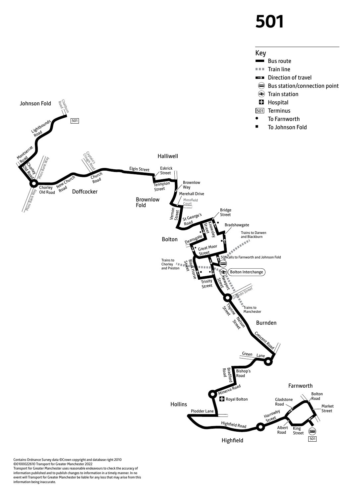# **501**



Contains Ordnance Survey data ©Crown copyright and database right 2010 ©0100022610 Transport for Greater Manchester 2022 Transport for Greater Manchester uses reasonable endeavours to check the accuracy of information published and to publish changes to information in a timely manner. In no event will Transport for Greater Manchester be liable for any loss that may arise from this information being inaccurate.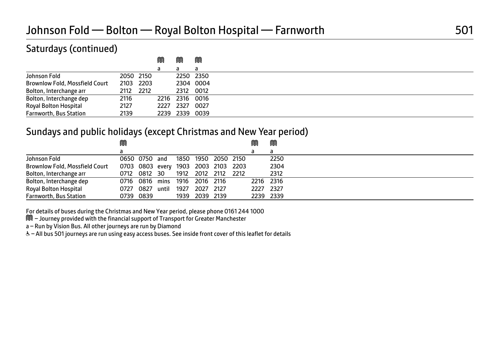# Saturdays (continued)

|                                       |           |           | M    | M              | M         |  |
|---------------------------------------|-----------|-----------|------|----------------|-----------|--|
|                                       |           |           | d    | a              | a         |  |
| Johnson Fold                          | 2050 2150 |           |      | 2250 2350      |           |  |
| <b>Brownlow Fold, Mossfield Court</b> |           | 2103 2203 |      |                | 2304 0004 |  |
| Bolton, Interchange arr               | 2112      | 2212      |      | 2312 0012      |           |  |
| Bolton, Interchange dep               | 2116      |           | 2216 | 2316 0016      |           |  |
| Royal Bolton Hospital                 | 2127      |           | 2227 | 2327           | 0027      |  |
| <b>Farnworth, Bus Station</b>         | 2139      |           |      | 2239 2339 0039 |           |  |

### Sundays and public holidays (except Christmas and New Year period)

|                                       | M    |                                     |       |      |                     |      | ⋒         | M    |  |
|---------------------------------------|------|-------------------------------------|-------|------|---------------------|------|-----------|------|--|
|                                       |      |                                     |       |      |                     |      |           | a    |  |
| Johnson Fold                          |      | 0650 0750 and                       |       |      | 1850 1950 2050 2150 |      |           | 2250 |  |
| <b>Brownlow Fold, Mossfield Court</b> |      | 0703 0803 every 1903 2003 2103 2203 |       |      |                     |      |           | 2304 |  |
| Bolton, Interchange arr               |      | 0712 0812 30                        |       |      | 1912 2012 2112      | 2212 |           | 2312 |  |
| Bolton, Interchange dep               |      | 0716 0816 mins 1916 2016 2116       |       |      |                     |      | 2216 2316 |      |  |
| Royal Bolton Hospital                 | 0727 | 0827                                | until | 1927 | 2027 2127           |      | 2227      | 2327 |  |
| <b>Farnworth, Bus Station</b>         |      | 0739 0839                           |       | 1939 | 2039 2139           |      | 2239 2339 |      |  |

For details of buses during the Christmas and New Year period, please phone 0161 244 1000

M – Journey provided with the financial support of Transport for Greater Manchester

a – Run by Vision Bus. All other journeys are run by Diamond

W– All bus 501 journeys are run using easy access buses. See inside front cover of this leaflet for details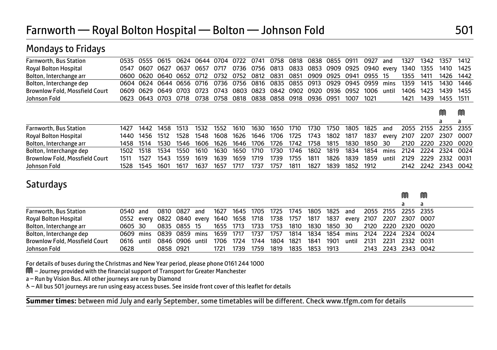| <b>Farnworth, Bus Station</b>  | 0535 | 0555 | 0615      | 0624 | 0644 | 0704 | 0722 | 0741           | 0758           | 0818 | 0838                           | 0855 | 0911 | 0927 | and   | 1327 | 1342 | 1357 | 1412 |
|--------------------------------|------|------|-----------|------|------|------|------|----------------|----------------|------|--------------------------------|------|------|------|-------|------|------|------|------|
| Royal Bolton Hospital          | 0547 | 0607 | 0627      | 0637 | 0657 | 0717 |      | 0736 0756 0813 |                |      | 0833 0853 0909 0925 0940 every |      |      |      |       | 1340 | 1355 | 1410 | 1425 |
| Bolton, Interchange arr        | 0600 | 0620 | 0640      | 0652 | 0712 | 0732 | 0752 | 0812           | 0831           | 0851 | 0909                           | 0925 | 0941 | 0955 | 15    | 1355 | 1411 | 1426 | 1442 |
| Bolton, Interchange dep        | 0604 | 0624 | 0644 0656 |      | 0716 | 0736 | 0756 | 0816           | 0835           | 0855 | 0913                           | 0929 | 0945 | 0959 | mins  | 1359 | 1415 | 1430 | 1446 |
| Brownlow Fold, Mossfield Court | 0609 | 0629 | 0649      | 0703 | 0723 | 0743 | 0803 | 0823           | 0842           | 0902 | 0920                           | 0936 | 0952 | 1006 | until | 1406 | 1423 | 1439 | 1455 |
| Johnson Fold                   | 0623 |      | 0643 0703 | 0718 | 0738 | 0758 | 0818 |                | 0838 0858 0918 |      | 0936                           | 0951 | 1007 | 1021 |       | 1421 | 1439 | 1455 | 1511 |
|                                |      |      |           |      |      |      |      |                |                |      |                                |      |      |      |       |      |      |      |      |
|                                |      |      |           |      |      |      |      |                |                |      |                                |      |      |      |       |      |      | m    | M    |
|                                |      |      |           |      |      |      |      |                |                |      |                                |      |      |      |       |      |      |      |      |
|                                |      |      |           |      |      |      |      |                |                |      |                                |      |      |      |       |      |      | a    | a    |
| Farnworth, Bus Station         | 1427 | 1442 | 1458      | 1513 | 1532 | 1552 | 1610 | 1630           | 1650           | 1710 | 1730                           | 1750 | 1805 | 1825 | and   | 2055 | 2155 | 2255 | 2355 |
| Royal Bolton Hospital          | 1440 | 1456 | 1512      | 1528 | 1548 | 1608 | 1626 | 1646           | 1706           | 1725 | 1743                           | 1802 | 1817 | 1837 | every | 2107 | 2207 | 2307 | 0007 |
| Bolton, Interchange arr        | 1458 | 1514 | 1530      | 1546 | 1606 | 1626 | 1646 | 1706           | 1726           | 1742 | 1758                           | 1815 | 1830 | 1850 | 30    | 2120 | 2220 | 2320 | 0020 |

Brownlow Fold, Mossfield Court 1511 1527 1543 1559 1619 1639 1659 1719 1739 1755 1811 1826 1839 1859 until 2129 2229 2332 0031

Johnson Fold 1528 1545 1601 1617 1637 1657 1717 1737 1757 1811 1827 1839 1852 1912 2142 2242 2343 0042

ment and the contract of the contract of the contract of the contract of the contract of the contract of the c

# **Saturdays**

Mondays to Fridays

| <b>Farnworth, Bus Station</b>         | 0540 and   | 0810 0827                          | and   |           |      |      |      |      | 1627 1645 1705 1725 1745 1805 1825                            |      | and   | 2055 2155 2255 2355       |  |
|---------------------------------------|------------|------------------------------------|-------|-----------|------|------|------|------|---------------------------------------------------------------|------|-------|---------------------------|--|
| Royal Bolton Hospital                 |            |                                    |       |           |      |      |      |      | 0552 every 0822 0840 every 1640 1658 1718 1738 1757 1817 1837 |      |       | every 2107 2207 2307 0007 |  |
| Bolton, Interchange arr               | 0605 30    | 0835 0855 15                       |       | 1655 1713 |      |      |      |      | 1733 1753 1810 1830 1850 30                                   |      |       | 2120 2220 2320 0020       |  |
| Bolton, Interchange dep               |            | 0609 mins 0839 0859 mins 1659 1717 |       |           |      | 1737 |      |      | 1757 1814 1834 1854 mins 2124 2224 2324 0024                  |      |       |                           |  |
| <b>Brownlow Fold, Mossfield Court</b> | 0616 until | 0846 0906                          | until | 1706      | 1724 | 1744 | 1804 | 1821 | 1841                                                          | 1901 | until | 2131 2231 2332 0031       |  |
| Johnson Fold                          | 0628       | 0858 0921                          |       | 1721      | 1739 | 1759 | 1819 |      | 1835 1853 1913                                                |      |       | 2143 2243 2343 0042       |  |

For details of buses during the Christmas and New Year period, please phone 0161 244 1000

M – Journey provided with the financial support of Transport for Greater Manchester

a – Run by Vision Bus. All other journeys are run by Diamond

W– All bus 501 journeys are run using easy access buses. See inside front cover of this leaflet for details

 $\overline{a}$ **Summer times:** between mid July and early September, some timetables will be different. Check www.tfgm.com for details